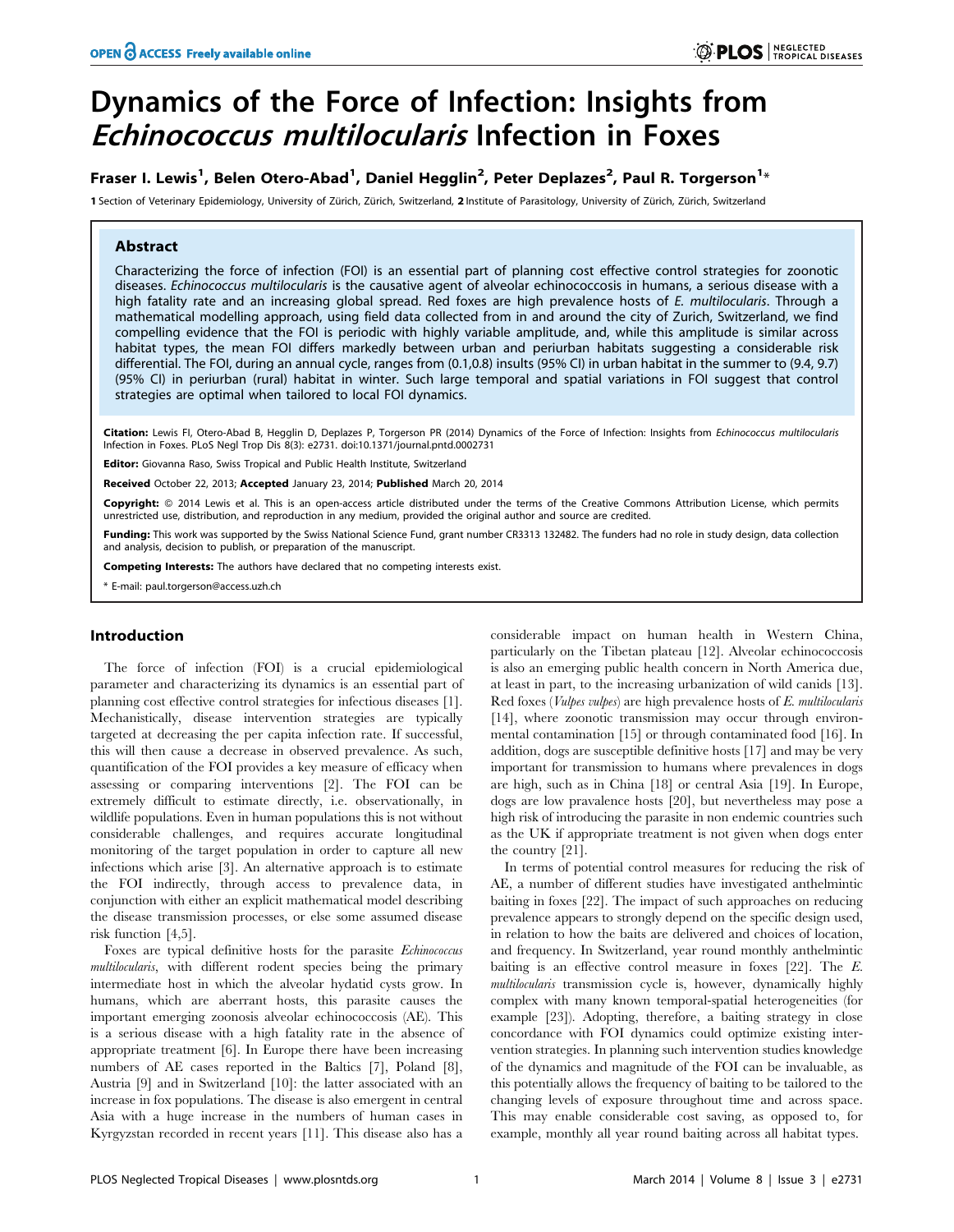# Dynamics of the Force of Infection: Insights from Echinococcus multilocularis Infection in Foxes

# Fraser I. Lewis<sup>1</sup>, Belen Otero-Abad<sup>1</sup>, Daniel Hegglin<sup>2</sup>, Peter Deplazes<sup>2</sup>, Paul R. Torgerson<sup>1</sup>\*

1 Section of Veterinary Epidemiology, University of Zürich, Zürich, Switzerland, 2 Institute of Parasitology, University of Zürich, Zürich, Switzerland

# Abstract

Characterizing the force of infection (FOI) is an essential part of planning cost effective control strategies for zoonotic diseases. Echinococcus multilocularis is the causative agent of alveolar echinococcosis in humans, a serious disease with a high fatality rate and an increasing global spread. Red foxes are high prevalence hosts of E. multilocularis. Through a mathematical modelling approach, using field data collected from in and around the city of Zurich, Switzerland, we find compelling evidence that the FOI is periodic with highly variable amplitude, and, while this amplitude is similar across habitat types, the mean FOI differs markedly between urban and periurban habitats suggesting a considerable risk differential. The FOI, during an annual cycle, ranges from (0.1,0.8) insults (95% CI) in urban habitat in the summer to (9.4, 9.7) (95% CI) in periurban (rural) habitat in winter. Such large temporal and spatial variations in FOI suggest that control strategies are optimal when tailored to local FOI dynamics.

Citation: Lewis FI, Otero-Abad B, Hegglin D, Deplazes P, Torgerson PR (2014) Dynamics of the Force of Infection: Insights from Echinococcus multilocularis Infection in Foxes. PLoS Negl Trop Dis 8(3): e2731. doi:10.1371/journal.pntd.0002731

Editor: Giovanna Raso, Swiss Tropical and Public Health Institute, Switzerland

Received October 22, 2013; Accepted January 23, 2014; Published March 20, 2014

Copyright: © 2014 Lewis et al. This is an open-access article distributed under the terms of the [Creative Commons Attribution License,](http://creativecommons.org/licenses/by/4.0/) which permits unrestricted use, distribution, and reproduction in any medium, provided the original author and source are credited.

Funding: This work was supported by the Swiss National Science Fund, grant number CR3313 132482. The funders had no role in study design, data collection and analysis, decision to publish, or preparation of the manuscript.

Competing Interests: The authors have declared that no competing interests exist.

\* E-mail: paul.torgerson@access.uzh.ch

# Introduction

The force of infection (FOI) is a crucial epidemiological parameter and characterizing its dynamics is an essential part of planning cost effective control strategies for infectious diseases [1]. Mechanistically, disease intervention strategies are typically targeted at decreasing the per capita infection rate. If successful, this will then cause a decrease in observed prevalence. As such, quantification of the FOI provides a key measure of efficacy when assessing or comparing interventions [2]. The FOI can be extremely difficult to estimate directly, i.e. observationally, in wildlife populations. Even in human populations this is not without considerable challenges, and requires accurate longitudinal monitoring of the target population in order to capture all new infections which arise [3]. An alternative approach is to estimate the FOI indirectly, through access to prevalence data, in conjunction with either an explicit mathematical model describing the disease transmission processes, or else some assumed disease risk function [4,5].

Foxes are typical definitive hosts for the parasite Echinococcus multilocularis, with different rodent species being the primary intermediate host in which the alveolar hydatid cysts grow. In humans, which are aberrant hosts, this parasite causes the important emerging zoonosis alveolar echinococcosis (AE). This is a serious disease with a high fatality rate in the absence of appropriate treatment [6]. In Europe there have been increasing numbers of AE cases reported in the Baltics [7], Poland [8], Austria [9] and in Switzerland [10]: the latter associated with an increase in fox populations. The disease is also emergent in central Asia with a huge increase in the numbers of human cases in Kyrgyzstan recorded in recent years [11]. This disease also has a

considerable impact on human health in Western China, particularly on the Tibetan plateau [12]. Alveolar echinococcosis is also an emerging public health concern in North America due, at least in part, to the increasing urbanization of wild canids [13]. Red foxes (Vulpes vulpes) are high prevalence hosts of E. multilocularis [14], where zoonotic transmission may occur through environmental contamination [15] or through contaminated food [16]. In addition, dogs are susceptible definitive hosts [17] and may be very important for transmission to humans where prevalences in dogs are high, such as in China [18] or central Asia [19]. In Europe, dogs are low pravalence hosts [20], but nevertheless may pose a high risk of introducing the parasite in non endemic countries such as the UK if appropriate treatment is not given when dogs enter the country [21].

In terms of potential control measures for reducing the risk of AE, a number of different studies have investigated anthelmintic baiting in foxes [22]. The impact of such approaches on reducing prevalence appears to strongly depend on the specific design used, in relation to how the baits are delivered and choices of location, and frequency. In Switzerland, year round monthly anthelmintic baiting is an effective control measure in foxes [22]. The E. multilocularis transmission cycle is, however, dynamically highly complex with many known temporal-spatial heterogeneities (for example [23]). Adopting, therefore, a baiting strategy in close concordance with FOI dynamics could optimize existing intervention strategies. In planning such intervention studies knowledge of the dynamics and magnitude of the FOI can be invaluable, as this potentially allows the frequency of baiting to be tailored to the changing levels of exposure throughout time and across space. This may enable considerable cost saving, as opposed to, for example, monthly all year round baiting across all habitat types.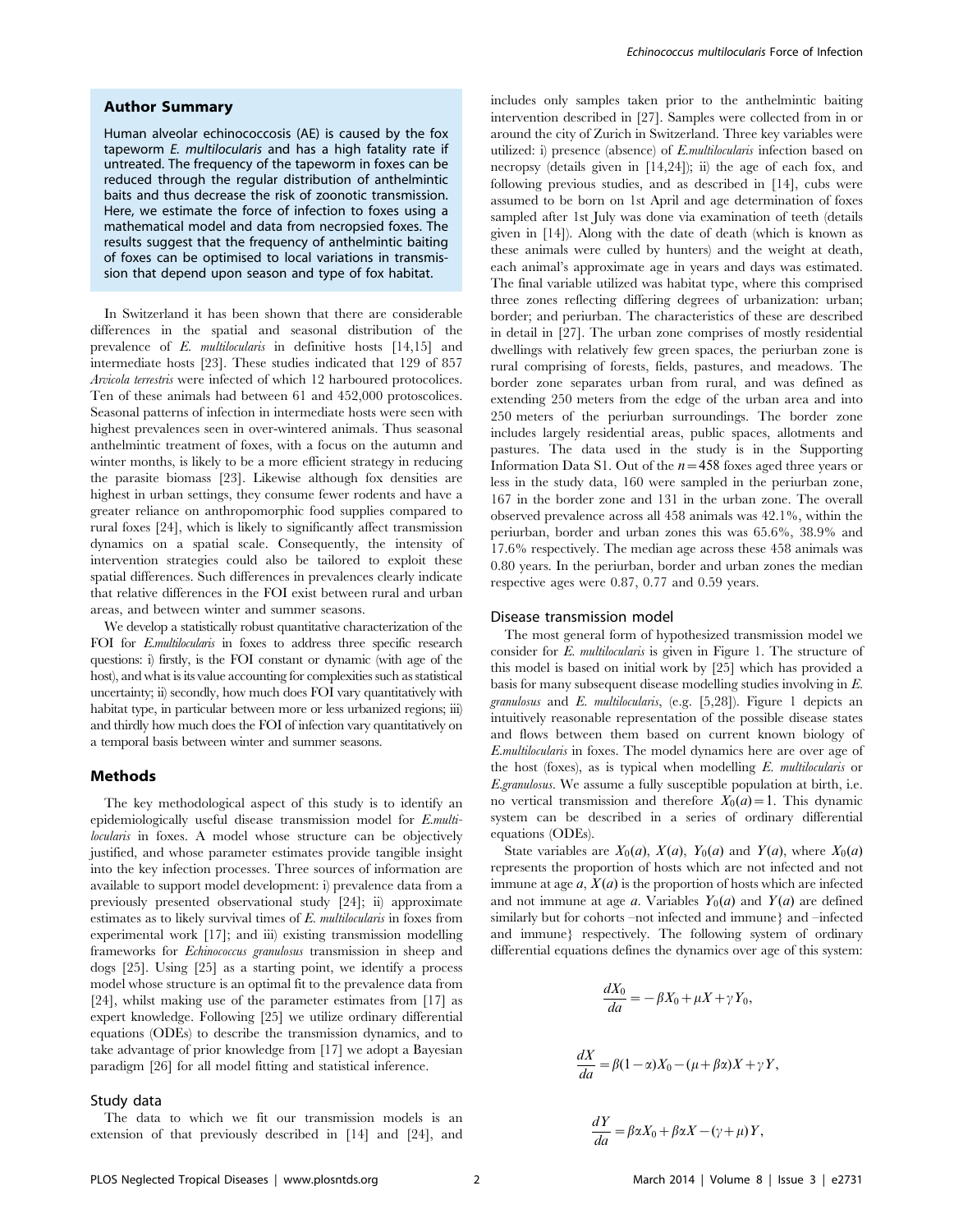#### Author Summary

Human alveolar echinococcosis (AE) is caused by the fox tapeworm E. multilocularis and has a high fatality rate if untreated. The frequency of the tapeworm in foxes can be reduced through the regular distribution of anthelmintic baits and thus decrease the risk of zoonotic transmission. Here, we estimate the force of infection to foxes using a mathematical model and data from necropsied foxes. The results suggest that the frequency of anthelmintic baiting of foxes can be optimised to local variations in transmission that depend upon season and type of fox habitat.

In Switzerland it has been shown that there are considerable differences in the spatial and seasonal distribution of the prevalence of E. multilocularis in definitive hosts [14,15] and intermediate hosts [23]. These studies indicated that 129 of 857 Arvicola terrestris were infected of which 12 harboured protocolices. Ten of these animals had between 61 and 452,000 protoscolices. Seasonal patterns of infection in intermediate hosts were seen with highest prevalences seen in over-wintered animals. Thus seasonal anthelmintic treatment of foxes, with a focus on the autumn and winter months, is likely to be a more efficient strategy in reducing the parasite biomass [23]. Likewise although fox densities are highest in urban settings, they consume fewer rodents and have a greater reliance on anthropomorphic food supplies compared to rural foxes [24], which is likely to significantly affect transmission dynamics on a spatial scale. Consequently, the intensity of intervention strategies could also be tailored to exploit these spatial differences. Such differences in prevalences clearly indicate that relative differences in the FOI exist between rural and urban areas, and between winter and summer seasons.

We develop a statistically robust quantitative characterization of the FOI for *E.multilocularis* in foxes to address three specific research questions: i) firstly, is the FOI constant or dynamic (with age of the host), and what is its value accounting for complexities such as statistical uncertainty; ii) secondly, how much does FOI vary quantitatively with habitat type, in particular between more or less urbanized regions; iii) and thirdly how much does the FOI of infection vary quantitatively on a temporal basis between winter and summer seasons.

### Methods

The key methodological aspect of this study is to identify an epidemiologically useful disease transmission model for E.multilocularis in foxes. A model whose structure can be objectively justified, and whose parameter estimates provide tangible insight into the key infection processes. Three sources of information are available to support model development: i) prevalence data from a previously presented observational study [24]; ii) approximate estimates as to likely survival times of E. multilocularis in foxes from experimental work [17]; and iii) existing transmission modelling frameworks for Echinococcus granulosus transmission in sheep and dogs [25]. Using [25] as a starting point, we identify a process model whose structure is an optimal fit to the prevalence data from [24], whilst making use of the parameter estimates from [17] as expert knowledge. Following [25] we utilize ordinary differential equations (ODEs) to describe the transmission dynamics, and to take advantage of prior knowledge from [17] we adopt a Bayesian paradigm [26] for all model fitting and statistical inference.

#### Study data

The data to which we fit our transmission models is an extension of that previously described in [14] and [24], and includes only samples taken prior to the anthelmintic baiting intervention described in [27]. Samples were collected from in or around the city of Zurich in Switzerland. Three key variables were utilized: i) presence (absence) of E.multilocularis infection based on necropsy (details given in [14,24]); ii) the age of each fox, and following previous studies, and as described in [14], cubs were assumed to be born on 1st April and age determination of foxes sampled after 1st July was done via examination of teeth (details given in [14]). Along with the date of death (which is known as these animals were culled by hunters) and the weight at death, each animal's approximate age in years and days was estimated. The final variable utilized was habitat type, where this comprised three zones reflecting differing degrees of urbanization: urban; border; and periurban. The characteristics of these are described in detail in [27]. The urban zone comprises of mostly residential dwellings with relatively few green spaces, the periurban zone is rural comprising of forests, fields, pastures, and meadows. The border zone separates urban from rural, and was defined as extending 250 meters from the edge of the urban area and into 250 meters of the periurban surroundings. The border zone includes largely residential areas, public spaces, allotments and pastures. The data used in the study is in the Supporting Information Data S1. Out of the  $n=458$  foxes aged three years or less in the study data, 160 were sampled in the periurban zone, 167 in the border zone and 131 in the urban zone. The overall observed prevalence across all 458 animals was 42.1%, within the periurban, border and urban zones this was 65.6%, 38.9% and 17.6% respectively. The median age across these 458 animals was 0.80 years. In the periurban, border and urban zones the median respective ages were 0.87, 0.77 and 0.59 years.

#### Disease transmission model

The most general form of hypothesized transmission model we consider for E. multilocularis is given in Figure 1. The structure of this model is based on initial work by [25] which has provided a basis for many subsequent disease modelling studies involving in E. granulosus and E. multilocularis, (e.g. [5,28]). Figure 1 depicts an intuitively reasonable representation of the possible disease states and flows between them based on current known biology of E.multilocularis in foxes. The model dynamics here are over age of the host (foxes), as is typical when modelling E. multilocularis or E.granulosus. We assume a fully susceptible population at birth, i.e. no vertical transmission and therefore  $X_0(a) = 1$ . This dynamic system can be described in a series of ordinary differential equations (ODEs).

State variables are  $X_0(a)$ ,  $X(a)$ ,  $Y_0(a)$  and  $Y(a)$ , where  $X_0(a)$ represents the proportion of hosts which are not infected and not immune at age  $a, X(a)$  is the proportion of hosts which are infected and not immune at age  $a$ . Variables  $Y_0(a)$  and  $Y(a)$  are defined similarly but for cohorts –not infected and immune} and –infected and immune} respectively. The following system of ordinary differential equations defines the dynamics over age of this system:

$$
\frac{dX_0}{da} = -\beta X_0 + \mu X + \gamma Y_0,
$$
  

$$
\frac{dX}{da} = \beta(1 - \alpha)X_0 - (\mu + \beta \alpha)X + \gamma Y,
$$
  

$$
\frac{dY}{da} = \beta \alpha X_0 + \beta \alpha X - (\gamma + \mu)Y,
$$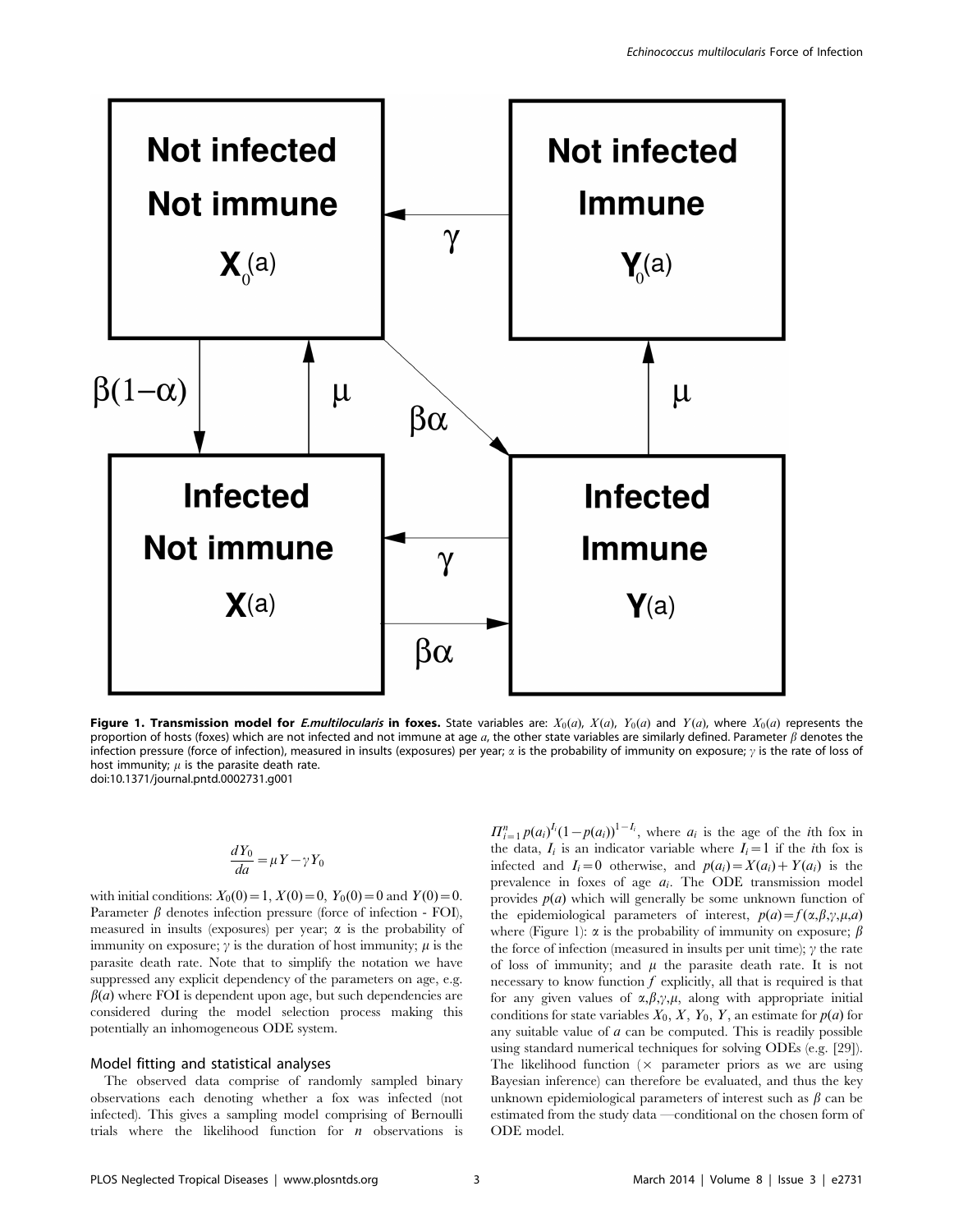

**Figure 1. Transmission model for E.multilocularis in foxes.** State variables are:  $X_0(a)$ ,  $X(a)$ ,  $Y_0(a)$  and  $Y(a)$ , where  $X_0(a)$  represents the proportion of hosts (foxes) which are not infected and not immune at age  $a$ , the other state variables are similarly defined. Parameter  $\beta$  denotes the infection pressure (force of infection), measured in insults (exposures) per year;  $\alpha$  is the probability of immunity on exposure;  $\gamma$  is the rate of loss of host immunity;  $\mu$  is the parasite death rate. doi:10.1371/journal.pntd.0002731.g001

$$
\frac{dY_0}{da} = \mu Y - \gamma Y_0
$$

with initial conditions:  $X_0(0) = 1$ ,  $X(0) = 0$ ,  $Y_0(0) = 0$  and  $Y(0) = 0$ . Parameter  $\beta$  denotes infection pressure (force of infection - FOI), measured in insults (exposures) per year;  $\alpha$  is the probability of immunity on exposure;  $\gamma$  is the duration of host immunity;  $\mu$  is the parasite death rate. Note that to simplify the notation we have suppressed any explicit dependency of the parameters on age, e.g.  $\beta(a)$  where FOI is dependent upon age, but such dependencies are considered during the model selection process making this potentially an inhomogeneous ODE system.

# Model fitting and statistical analyses

The observed data comprise of randomly sampled binary observations each denoting whether a fox was infected (not infected). This gives a sampling model comprising of Bernoulli trials where the likelihood function for  $n$  observations is

 $\prod_{i=1}^n p(a_i)^{I_i} (1-p(a_i))^{1-I_i}$ , where  $a_i$  is the age of the *i*th fox in the data,  $I_i$  is an indicator variable where  $I_i=1$  if the *i*th fox is infected and  $I_i=0$  otherwise, and  $p(a_i)=X(a_i)+Y(a_i)$  is the prevalence in foxes of age  $a_i$ . The ODE transmission model provides  $p(a)$  which will generally be some unknown function of the epidemiological parameters of interest,  $p(a)=f(\alpha,\beta,\gamma,\mu,a)$ where (Figure 1):  $\alpha$  is the probability of immunity on exposure;  $\beta$ the force of infection (measured in insults per unit time);  $\gamma$  the rate of loss of immunity; and  $\mu$  the parasite death rate. It is not necessary to know function  $f$  explicitly, all that is required is that for any given values of  $\alpha, \beta, \gamma, \mu$ , along with appropriate initial conditions for state variables  $X_0$ ,  $X$ ,  $Y_0$ ,  $Y$ , an estimate for  $p(a)$  for any suitable value of  $a$  can be computed. This is readily possible using standard numerical techniques for solving ODEs (e.g. [29]). The likelihood function  $(x$  parameter priors as we are using Bayesian inference) can therefore be evaluated, and thus the key unknown epidemiological parameters of interest such as  $\beta$  can be estimated from the study data —conditional on the chosen form of ODE model.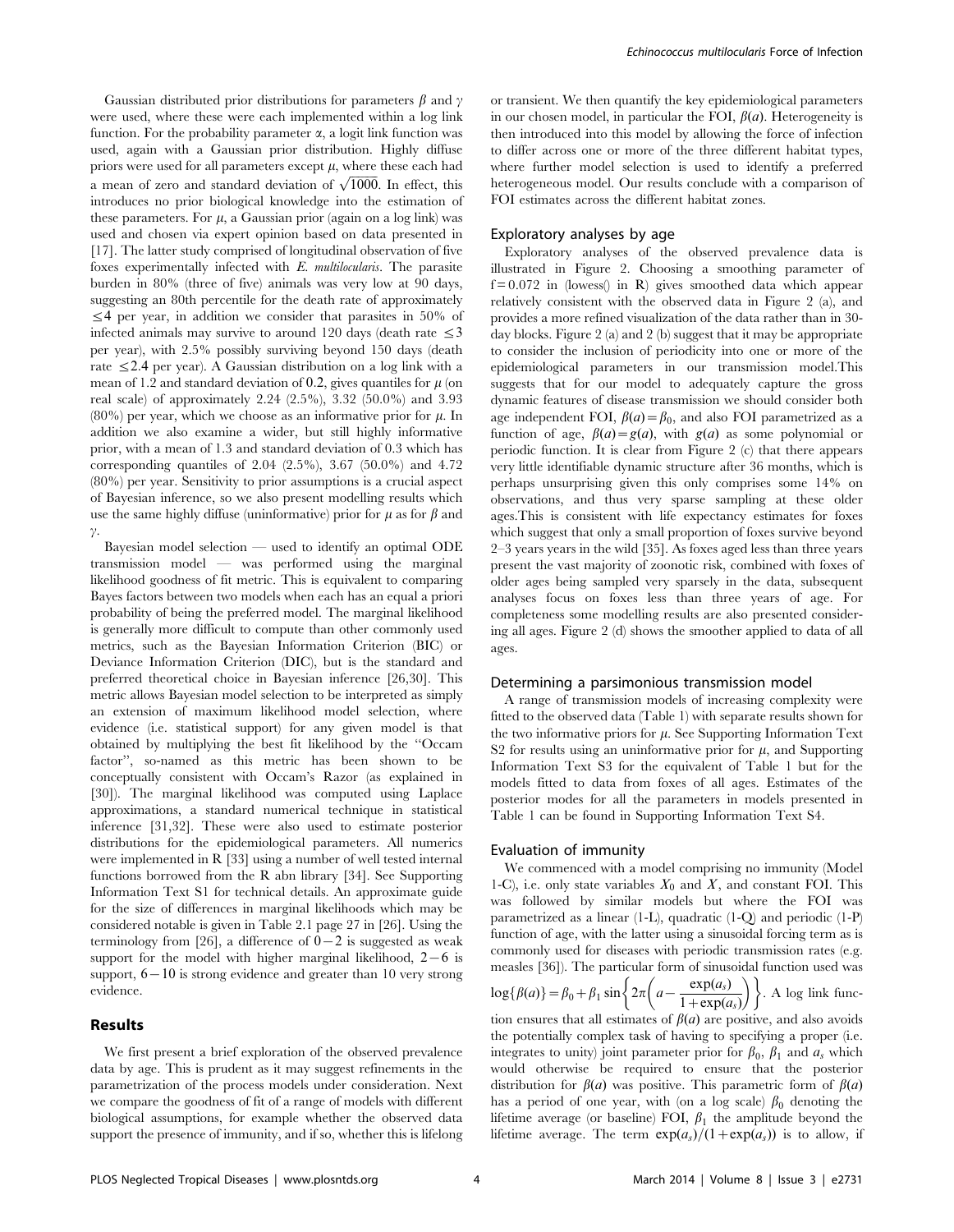Gaussian distributed prior distributions for parameters  $\beta$  and  $\gamma$ were used, where these were each implemented within a log link function. For the probability parameter  $\alpha$ , a logit link function was used, again with a Gaussian prior distribution. Highly diffuse priors were used for all parameters except  $\mu$ , where these each had priors were used for all parameters except  $\mu$ , where these each had a mean of zero and standard deviation of  $\sqrt{1000}$ . In effect, this introduces no prior biological knowledge into the estimation of these parameters. For  $\mu$ , a Gaussian prior (again on a log link) was used and chosen via expert opinion based on data presented in [17]. The latter study comprised of longitudinal observation of five foxes experimentally infected with E. multilocularis. The parasite burden in 80% (three of five) animals was very low at 90 days, suggesting an 80th percentile for the death rate of approximately  $\leq$ 4 per year, in addition we consider that parasites in 50% of infected animals may survive to around 120 days (death rate  $\leq 3$ ) per year), with 2.5% possibly surviving beyond 150 days (death rate  $\leq$  2.4 per year). A Gaussian distribution on a log link with a mean of 1.2 and standard deviation of 0.2, gives quantiles for  $\mu$  (on real scale) of approximately 2.24 (2.5%), 3.32 (50.0%) and 3.93  $(80\%)$  per year, which we choose as an informative prior for  $\mu$ . In addition we also examine a wider, but still highly informative prior, with a mean of 1.3 and standard deviation of 0.3 which has corresponding quantiles of 2.04 (2.5%), 3.67 (50.0%) and 4.72 (80%) per year. Sensitivity to prior assumptions is a crucial aspect of Bayesian inference, so we also present modelling results which use the same highly diffuse (uninformative) prior for  $\mu$  as for  $\beta$  and  $\gamma$ .

Bayesian model selection — used to identify an optimal ODE transmission model — was performed using the marginal likelihood goodness of fit metric. This is equivalent to comparing Bayes factors between two models when each has an equal a priori probability of being the preferred model. The marginal likelihood is generally more difficult to compute than other commonly used metrics, such as the Bayesian Information Criterion (BIC) or Deviance Information Criterion (DIC), but is the standard and preferred theoretical choice in Bayesian inference [26,30]. This metric allows Bayesian model selection to be interpreted as simply an extension of maximum likelihood model selection, where evidence (i.e. statistical support) for any given model is that obtained by multiplying the best fit likelihood by the ''Occam factor'', so-named as this metric has been shown to be conceptually consistent with Occam's Razor (as explained in [30]). The marginal likelihood was computed using Laplace approximations, a standard numerical technique in statistical inference [31,32]. These were also used to estimate posterior distributions for the epidemiological parameters. All numerics were implemented in R [33] using a number of well tested internal functions borrowed from the R abn library [34]. See Supporting Information Text S1 for technical details. An approximate guide for the size of differences in marginal likelihoods which may be considered notable is given in Table 2.1 page 27 in [26]. Using the terminology from [26], a difference of  $0-2$  is suggested as weak support for the model with higher marginal likelihood,  $2{-}6$  is support,  $6-10$  is strong evidence and greater than 10 very strong evidence.

# Results

We first present a brief exploration of the observed prevalence data by age. This is prudent as it may suggest refinements in the parametrization of the process models under consideration. Next we compare the goodness of fit of a range of models with different biological assumptions, for example whether the observed data support the presence of immunity, and if so, whether this is lifelong or transient. We then quantify the key epidemiological parameters in our chosen model, in particular the FOI,  $\beta(a)$ . Heterogeneity is then introduced into this model by allowing the force of infection to differ across one or more of the three different habitat types, where further model selection is used to identify a preferred heterogeneous model. Our results conclude with a comparison of FOI estimates across the different habitat zones.

#### Exploratory analyses by age

Exploratory analyses of the observed prevalence data is illustrated in Figure 2. Choosing a smoothing parameter of  $f = 0.072$  in (lowess) in R) gives smoothed data which appear relatively consistent with the observed data in Figure 2 (a), and provides a more refined visualization of the data rather than in 30 day blocks. Figure 2 (a) and 2 (b) suggest that it may be appropriate to consider the inclusion of periodicity into one or more of the epidemiological parameters in our transmission model.This suggests that for our model to adequately capture the gross dynamic features of disease transmission we should consider both age independent FOI,  $\beta(a) = \beta_0$ , and also FOI parametrized as a function of age,  $\beta(a)=g(a)$ , with  $g(a)$  as some polynomial or periodic function. It is clear from Figure 2 (c) that there appears very little identifiable dynamic structure after 36 months, which is perhaps unsurprising given this only comprises some 14% on observations, and thus very sparse sampling at these older ages.This is consistent with life expectancy estimates for foxes which suggest that only a small proportion of foxes survive beyond 2–3 years years in the wild [35]. As foxes aged less than three years present the vast majority of zoonotic risk, combined with foxes of older ages being sampled very sparsely in the data, subsequent analyses focus on foxes less than three years of age. For completeness some modelling results are also presented considering all ages. Figure 2 (d) shows the smoother applied to data of all ages.

#### Determining a parsimonious transmission model

A range of transmission models of increasing complexity were fitted to the observed data (Table 1) with separate results shown for the two informative priors for  $\mu$ . See Supporting Information Text S2 for results using an uninformative prior for  $\mu$ , and Supporting Information Text S3 for the equivalent of Table 1 but for the models fitted to data from foxes of all ages. Estimates of the posterior modes for all the parameters in models presented in Table 1 can be found in Supporting Information Text S4.

#### Evaluation of immunity

We commenced with a model comprising no immunity (Model 1-C), i.e. only state variables  $X_0$  and  $X$ , and constant FOI. This was followed by similar models but where the FOI was parametrized as a linear (1-L), quadratic (1-Q) and periodic (1-P) function of age, with the latter using a sinusoidal forcing term as is commonly used for diseases with periodic transmission rates (e.g. measles [36]). The particular form of sinusoidal function used was  $\log{\{\beta(a)\}} = \beta_0 + \beta_1 \sin{\left\{2\pi \left(a - \frac{\exp(a_s)}{1 + \exp(a_s)}\right)\right\}}$  $\left( \begin{array}{cc} \left( \begin{array}{cc} \cos \theta & \sin \theta \end{array} \right) & \sin \theta \end{array} \right)$ . A log link function ensures that all estimates of  $\beta(a)$  are positive, and also avoids

the potentially complex task of having to specifying a proper (i.e. integrates to unity) joint parameter prior for  $\beta_0$ ,  $\beta_1$  and  $a_s$  which would otherwise be required to ensure that the posterior distribution for  $\beta(a)$  was positive. This parametric form of  $\beta(a)$ has a period of one year, with (on a log scale)  $\beta_0$  denoting the lifetime average (or baseline) FOI,  $\beta_1$  the amplitude beyond the lifetime average. The term  $\exp(a_s)/(1+\exp(a_s))$  is to allow, if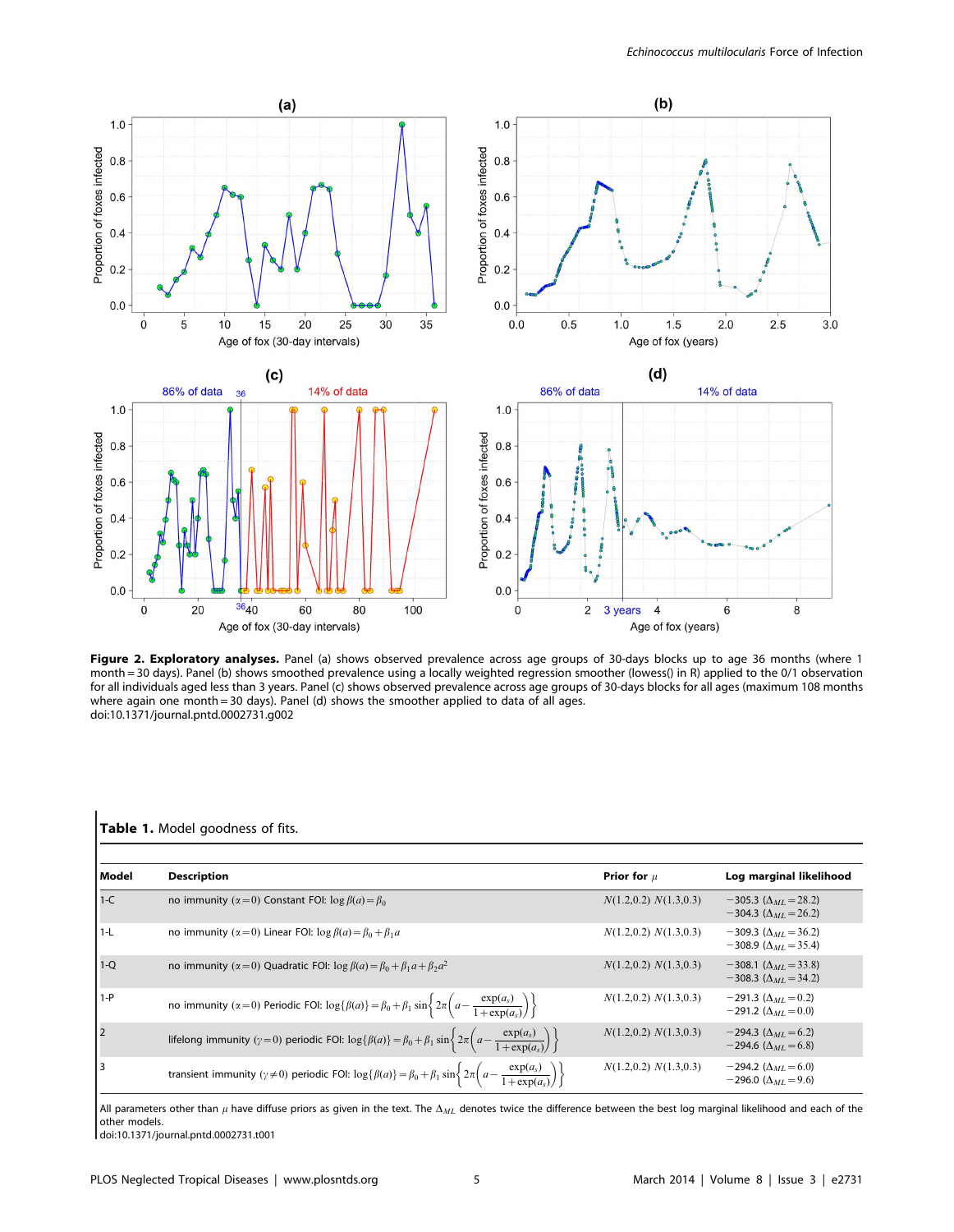

Figure 2. Exploratory analyses. Panel (a) shows observed prevalence across age groups of 30-days blocks up to age 36 months (where 1 month = 30 days). Panel (b) shows smoothed prevalence using a locally weighted regression smoother (lowess() in R) applied to the 0/1 observation for all individuals aged less than 3 years. Panel (c) shows observed prevalence across age groups of 30-days blocks for all ages (maximum 108 months where again one month = 30 days). Panel (d) shows the smoother applied to data of all ages. doi:10.1371/journal.pntd.0002731.g002

| <b>Table 1.</b> Model goodness of fits. |                                                                                                                                                                             |                         |                                                                |
|-----------------------------------------|-----------------------------------------------------------------------------------------------------------------------------------------------------------------------------|-------------------------|----------------------------------------------------------------|
| Model                                   | <b>Description</b>                                                                                                                                                          | Prior for $\mu$         | Log marginal likelihood                                        |
| $1-C$                                   | no immunity ( $\alpha = 0$ ) Constant FOI: $\log \beta(a) = \beta_0$                                                                                                        | N(1.2, 0.2) N(1.3, 0.3) | $-305.3~(\Delta_{MI} = 28.2)$<br>$-304.3~(\Delta_{MI} = 26.2)$ |
| $1-L$                                   | no immunity ( $\alpha = 0$ ) Linear FOI: $\log \beta(a) = \beta_0 + \beta_1 a$                                                                                              | N(1.2, 0.2) N(1.3, 0.3) | $-309.3~(\Delta_{MI}=36.2)$<br>$-308.9~(\Delta_{MI}=35.4)$     |
| $1-Q$                                   | no immunity ( $\alpha = 0$ ) Quadratic FOI: $\log \beta(a) = \beta_0 + \beta_1 a + \beta_2 a^2$                                                                             | N(1.2, 0.2) N(1.3, 0.3) | $-308.1~(\Delta_{MI}=33.8)$<br>$-308.3~(\Delta_{MI}=34.2)$     |
| $1-P$                                   | no immunity ( <i>x</i> = 0) Periodic FOI: $\log{\{\beta(a)\}} = \beta_0 + \beta_1 \sin{\left\{2\pi\left(a - \frac{\exp(a_s)}{1 + \exp(a_s)}\right)\right\}}$                | N(1.2, 0.2) N(1.3, 0.3) | $-291.3~(\Delta_{MI}=0.2)$<br>$-291.2~(\Delta_{MI}=0.0)$       |
| $^1$ 2                                  | lifelong immunity ( $\gamma = 0$ ) periodic FOI: $\log{\{\beta(a)\}} = \beta_0 + \beta_1 \sin{\left\{2\pi \left(a - \frac{\exp(a_s)}{1 + \exp(a_s)}\right)\right\}}$        | N(1.2, 0.2) N(1.3, 0.3) | $-294.3~(\Delta_{MI}=6.2)$<br>$-294.6~(\Delta_{ML} = 6.8)$     |
| 3                                       | transient immunity ( $\gamma \neq 0$ ) periodic FOI: $\log{\{\beta(a)\}} = \beta_0 + \beta_1 \sin \left\{ 2\pi \left( a - \frac{\exp(a_s)}{1 + \exp(a_s)} \right) \right\}$ | N(1.2, 0.2) N(1.3, 0.3) | $-294.2~(\Delta_{MI}=6.0)$<br>$-296.0~(\Delta_{ML}=9.6)$       |

All parameters other than  $\mu$  have diffuse priors as given in the text. The  $\Delta_{ML}$  denotes twice the difference between the best log marginal likelihood and each of the other models.

doi:10.1371/journal.pntd.0002731.t001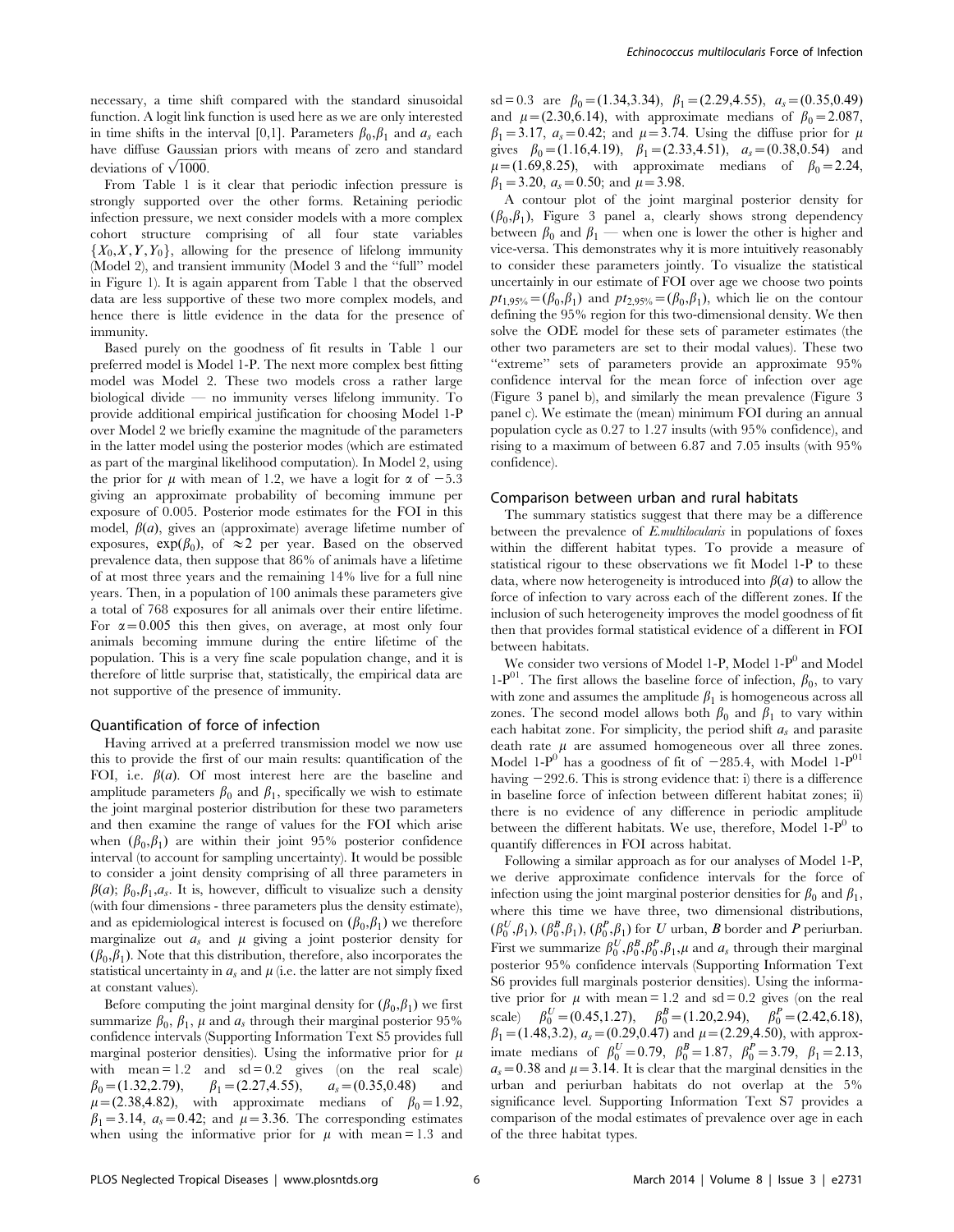necessary, a time shift compared with the standard sinusoidal function. A logit link function is used here as we are only interested in time shifts in the interval [0,1]. Parameters  $\beta_0, \beta_1$  and  $a_s$  each have diffuse Gaussian priors with means of zero and standard have unuse Gaussia<br>deviations of  $\sqrt{1000}$ .

From Table 1 is it clear that periodic infection pressure is strongly supported over the other forms. Retaining periodic infection pressure, we next consider models with a more complex cohort structure comprising of all four state variables  $\{X_0, X, Y, Y_0\}$ , allowing for the presence of lifelong immunity (Model 2), and transient immunity (Model 3 and the ''full'' model in Figure 1). It is again apparent from Table 1 that the observed data are less supportive of these two more complex models, and hence there is little evidence in the data for the presence of immunity.

Based purely on the goodness of fit results in Table 1 our preferred model is Model 1-P. The next more complex best fitting model was Model 2. These two models cross a rather large biological divide — no immunity verses lifelong immunity. To provide additional empirical justification for choosing Model 1-P over Model 2 we briefly examine the magnitude of the parameters in the latter model using the posterior modes (which are estimated as part of the marginal likelihood computation). In Model 2, using the prior for  $\mu$  with mean of 1.2, we have a logit for  $\alpha$  of  $-5.3$ giving an approximate probability of becoming immune per exposure of 0.005. Posterior mode estimates for the FOI in this model,  $\beta(a)$ , gives an (approximate) average lifetime number of exposures,  $exp(\beta_0)$ , of  $\approx 2$  per year. Based on the observed prevalence data, then suppose that 86% of animals have a lifetime of at most three years and the remaining 14% live for a full nine years. Then, in a population of 100 animals these parameters give a total of 768 exposures for all animals over their entire lifetime. For  $\alpha = 0.005$  this then gives, on average, at most only four animals becoming immune during the entire lifetime of the population. This is a very fine scale population change, and it is therefore of little surprise that, statistically, the empirical data are not supportive of the presence of immunity.

#### Quantification of force of infection

Having arrived at a preferred transmission model we now use this to provide the first of our main results: quantification of the FOI, i.e.  $\beta(a)$ . Of most interest here are the baseline and amplitude parameters  $\beta_0$  and  $\beta_1$ , specifically we wish to estimate the joint marginal posterior distribution for these two parameters and then examine the range of values for the FOI which arise when  $(\beta_0, \beta_1)$  are within their joint 95% posterior confidence interval (to account for sampling uncertainty). It would be possible to consider a joint density comprising of all three parameters in  $\beta(a)$ ;  $\beta_0, \beta_1, a_s$ . It is, however, difficult to visualize such a density (with four dimensions - three parameters plus the density estimate), and as epidemiological interest is focused on  $(\beta_0, \beta_1)$  we therefore marginalize out  $a_s$  and  $\mu$  giving a joint posterior density for  $(\beta_0,\beta_1)$ . Note that this distribution, therefore, also incorporates the statistical uncertainty in  $a_s$  and  $\mu$  (i.e. the latter are not simply fixed at constant values).

Before computing the joint marginal density for  $(\beta_0,\beta_1)$  we first summarize  $\beta_0$ ,  $\beta_1$ ,  $\mu$  and  $a_s$  through their marginal posterior 95% confidence intervals (Supporting Information Text S5 provides full marginal posterior densities). Using the informative prior for  $\mu$ with mean =  $1.2$  and sd =  $0.2$  gives (on the real scale)  $\beta_0 = (1.32, 2.79),$   $\beta_1 = (2.27, 4.55),$   $a_s = (0.35, 0.48)$  and  $\mu=(2.38,4.82)$ , with approximate medians of  $\beta_0=1.92$ ,  $\beta_1$  = 3.14,  $a_s$  = 0.42; and  $\mu$  = 3.36. The corresponding estimates when using the informative prior for  $\mu$  with mean = 1.3 and sd = 0.3 are  $\beta_0$  = (1.34,3.34),  $\beta_1$  = (2.29,4.55),  $a_s$  = (0.35,0.49) and  $\mu=(2.30,6.14)$ , with approximate medians of  $\beta_0=2.087$ ,  $\beta_1$  = 3.17,  $a_s$  = 0.42; and  $\mu$  = 3.74. Using the diffuse prior for  $\mu$ gives  $\beta_0 = (1.16, 4.19), \beta_1 = (2.33, 4.51), \alpha_s = (0.38, 0.54)$  and  $\mu=(1.69,8.25)$ , with approximate medians of  $\beta_0=2.24$ ,  $\beta_1$  = 3.20,  $a_s$  = 0.50; and  $\mu$  = 3.98.

A contour plot of the joint marginal posterior density for  $(\beta_0,\beta_1)$ , Figure 3 panel a, clearly shows strong dependency between  $\beta_0$  and  $\beta_1$  — when one is lower the other is higher and vice-versa. This demonstrates why it is more intuitively reasonably to consider these parameters jointly. To visualize the statistical uncertainly in our estimate of FOI over age we choose two points  $pt_{1.95\%}=(\beta_0,\beta_1)$  and  $pt_{2.95\%}=(\beta_0,\beta_1)$ , which lie on the contour defining the 95% region for this two-dimensional density. We then solve the ODE model for these sets of parameter estimates (the other two parameters are set to their modal values). These two "extreme" sets of parameters provide an approximate 95% confidence interval for the mean force of infection over age (Figure 3 panel b), and similarly the mean prevalence (Figure 3 panel c). We estimate the (mean) minimum FOI during an annual population cycle as 0.27 to 1.27 insults (with 95% confidence), and rising to a maximum of between 6.87 and 7.05 insults (with 95% confidence).

#### Comparison between urban and rural habitats

The summary statistics suggest that there may be a difference between the prevalence of E.multilocularis in populations of foxes within the different habitat types. To provide a measure of statistical rigour to these observations we fit Model 1-P to these data, where now heterogeneity is introduced into  $\beta(a)$  to allow the force of infection to vary across each of the different zones. If the inclusion of such heterogeneity improves the model goodness of fit then that provides formal statistical evidence of a different in FOI between habitats.

We consider two versions of Model 1-P, Model 1- $P^0$  and Model 1-P<sup>01</sup>. The first allows the baseline force of infection,  $\beta_0$ , to vary with zone and assumes the amplitude  $\beta_1$  is homogeneous across all zones. The second model allows both  $\beta_0$  and  $\beta_1$  to vary within each habitat zone. For simplicity, the period shift  $a_s$  and parasite death rate  $\mu$  are assumed homogeneous over all three zones. Model 1- $P^0$  has a goodness of fit of  $-285.4$ , with Model 1- $P^{01}$ having  $-292.6$ . This is strong evidence that: i) there is a difference in baseline force of infection between different habitat zones; ii) there is no evidence of any difference in periodic amplitude between the different habitats. We use, therefore, Model  $1-P<sup>0</sup>$  to quantify differences in FOI across habitat.

Following a similar approach as for our analyses of Model 1-P, we derive approximate confidence intervals for the force of infection using the joint marginal posterior densities for  $\beta_0$  and  $\beta_1$ , where this time we have three, two dimensional distributions,  $(\beta_0^U, \beta_1), (\beta_0^B, \beta_1), (\beta_0^P, \beta_1)$  for U urban, B border and P periurban. First we summarize  $\beta_0^U, \beta_0^B, \beta_0^P, \beta_1, \mu$  and  $a_s$  through their marginal posterior 95% confidence intervals (Supporting Information Text S6 provides full marginals posterior densities). Using the informative prior for  $\mu$  with mean = 1.2 and sd = 0.2 gives (on the real scale)  $\beta_0^U = (0.45, 1.27), \quad \beta_0^B = (1.20, 2.94), \quad \beta_0^P = (2.42, 6.18),$  $\beta_1 = (1.48, 3.2), a_s = (0.29, 0.47)$  and  $\mu = (2.29, 4.50)$ , with approximate medians of  $\beta_0^U = 0.79$ ,  $\beta_0^B = 1.87$ ,  $\beta_0^P = 3.79$ ,  $\beta_1 = 2.13$ ,  $a_s = 0.38$  and  $\mu = 3.14$ . It is clear that the marginal densities in the urban and periurban habitats do not overlap at the 5% significance level. Supporting Information Text S7 provides a comparison of the modal estimates of prevalence over age in each of the three habitat types.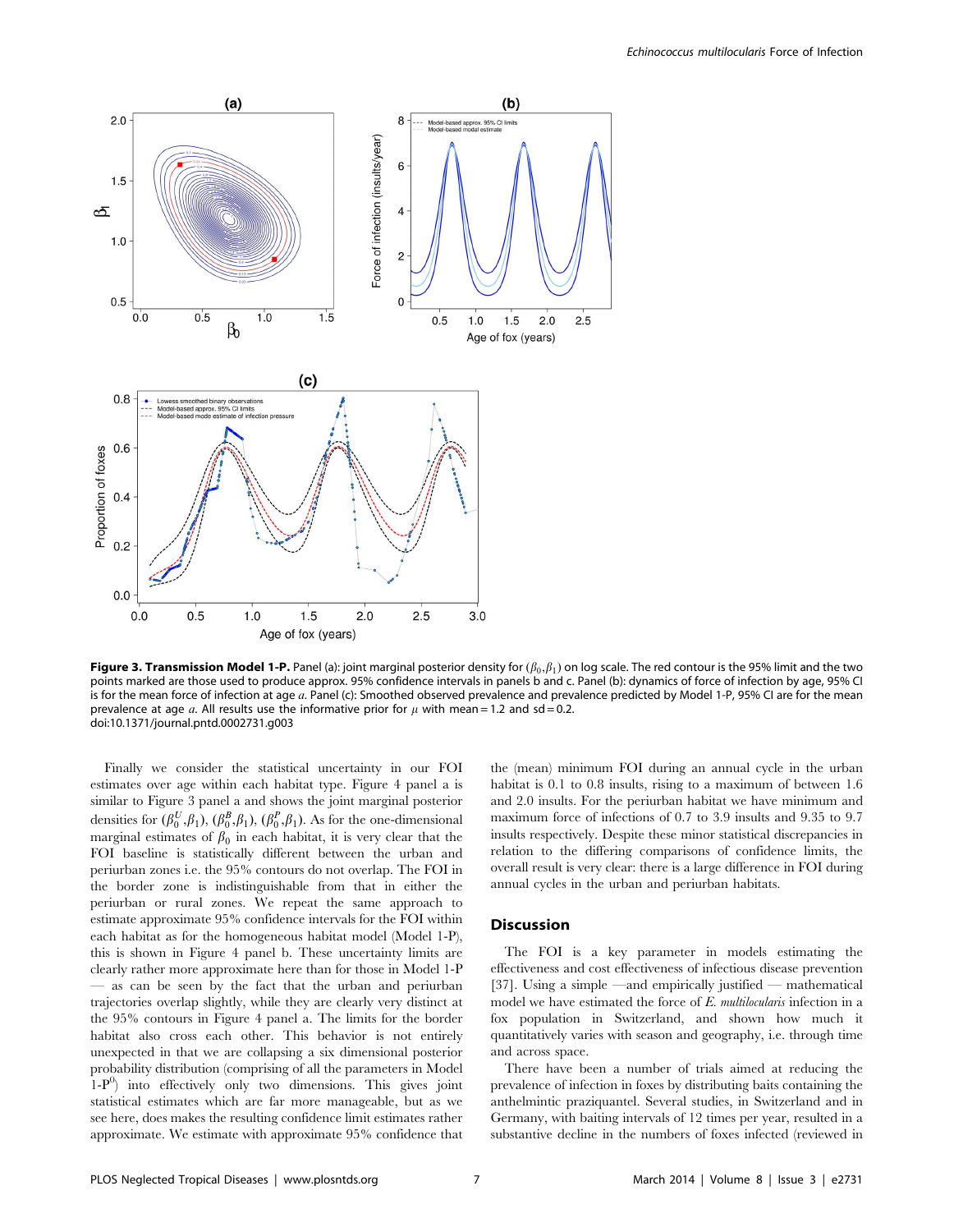

**Figure 3. Transmission Model 1-P.** Panel (a): joint marginal posterior density for  $(\beta_0, \beta_1)$  on log scale. The red contour is the 95% limit and the two points marked are those used to produce approx. 95% confidence intervals in panels b and c. Panel (b): dynamics of force of infection by age, 95% CI is for the mean force of infection at age a. Panel (c): Smoothed observed prevalence and prevalence predicted by Model 1-P, 95% CI are for the mean prevalence at age a. All results use the informative prior for  $\mu$  with mean = 1.2 and sd = 0.2. doi:10.1371/journal.pntd.0002731.g003

Finally we consider the statistical uncertainty in our FOI estimates over age within each habitat type. Figure 4 panel a is similar to Figure 3 panel a and shows the joint marginal posterior densities for  $(\beta_0^U, \beta_1), (\beta_0^B, \beta_1), (\beta_0^P, \beta_1)$ . As for the one-dimensional marginal estimates of  $\beta_0$  in each habitat, it is very clear that the FOI baseline is statistically different between the urban and periurban zones i.e. the 95% contours do not overlap. The FOI in the border zone is indistinguishable from that in either the periurban or rural zones. We repeat the same approach to estimate approximate 95% confidence intervals for the FOI within each habitat as for the homogeneous habitat model (Model 1-P), this is shown in Figure 4 panel b. These uncertainty limits are clearly rather more approximate here than for those in Model 1-P as can be seen by the fact that the urban and periurban trajectories overlap slightly, while they are clearly very distinct at the 95% contours in Figure 4 panel a. The limits for the border habitat also cross each other. This behavior is not entirely unexpected in that we are collapsing a six dimensional posterior probability distribution (comprising of all the parameters in Model 1-P<sup>0</sup>) into effectively only two dimensions. This gives joint statistical estimates which are far more manageable, but as we see here, does makes the resulting confidence limit estimates rather approximate. We estimate with approximate 95% confidence that

the (mean) minimum FOI during an annual cycle in the urban habitat is  $0.1$  to  $0.8$  insults, rising to a maximum of between 1.6 and 2.0 insults. For the periurban habitat we have minimum and maximum force of infections of 0.7 to 3.9 insults and 9.35 to 9.7 insults respectively. Despite these minor statistical discrepancies in relation to the differing comparisons of confidence limits, the overall result is very clear: there is a large difference in FOI during annual cycles in the urban and periurban habitats.

# **Discussion**

The FOI is a key parameter in models estimating the effectiveness and cost effectiveness of infectious disease prevention [37]. Using a simple —and empirically justified — mathematical model we have estimated the force of  $E$ . multilocularis infection in a fox population in Switzerland, and shown how much it quantitatively varies with season and geography, i.e. through time and across space.

There have been a number of trials aimed at reducing the prevalence of infection in foxes by distributing baits containing the anthelmintic praziquantel. Several studies, in Switzerland and in Germany, with baiting intervals of 12 times per year, resulted in a substantive decline in the numbers of foxes infected (reviewed in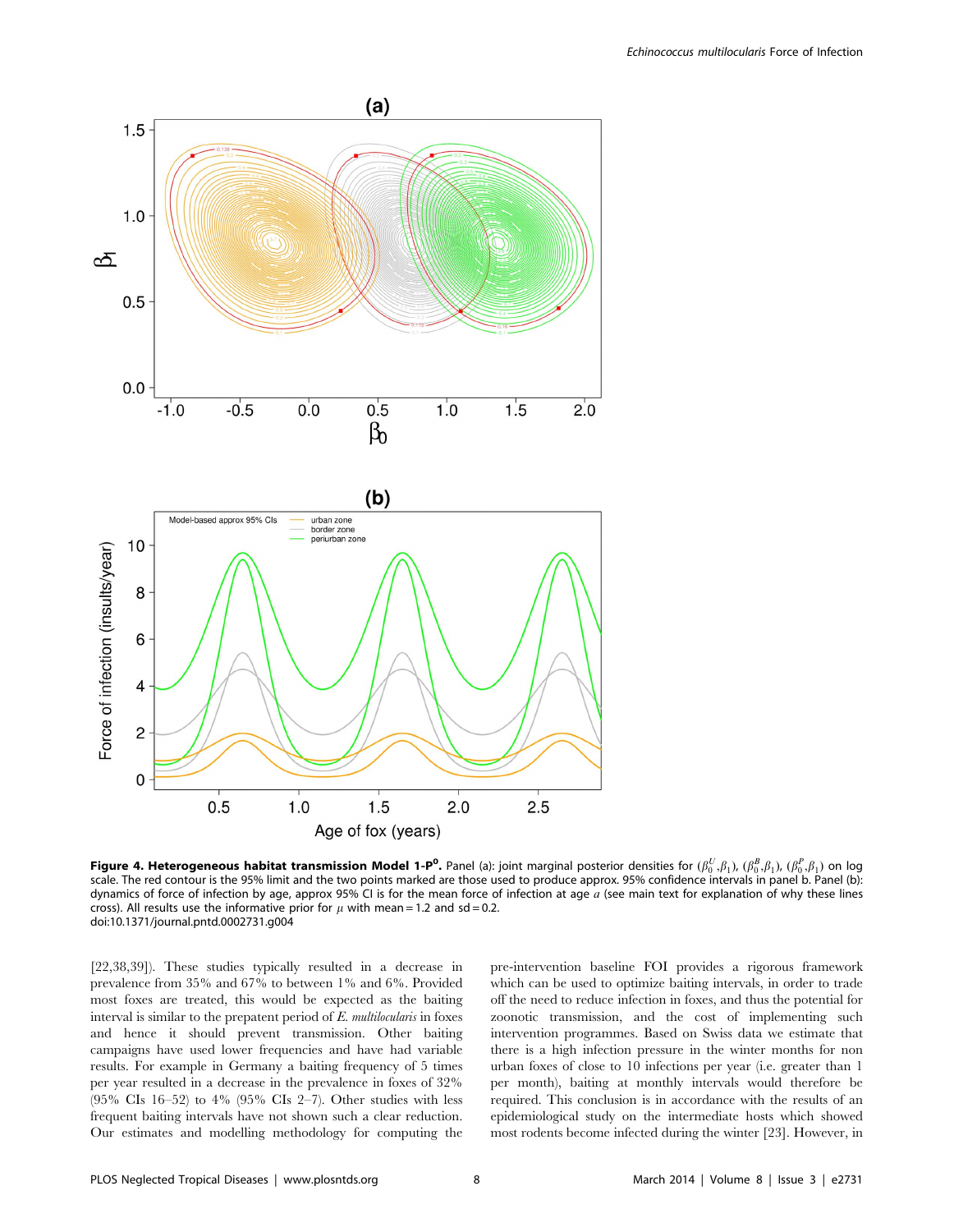

**Figure 4. Heterogeneous habitat transmission Model 1-P<sup>o</sup>.** Panel (a): joint marginal posterior densities for  $(\beta_0^U,\beta_1),\,(\beta_0^B,\beta_1),\,(\beta_0^P,\beta_1)$  on log scale. The red contour is the 95% limit and the two points marked are those used to produce approx. 95% confidence intervals in panel b. Panel (b): dynamics of force of infection by age, approx 95% CI is for the mean force of infection at age  $a$  (see main text for explanation of why these lines cross). All results use the informative prior for  $\mu$  with mean = 1.2 and sd = 0.2. doi:10.1371/journal.pntd.0002731.g004

[22,38,39]). These studies typically resulted in a decrease in prevalence from 35% and 67% to between 1% and 6%. Provided most foxes are treated, this would be expected as the baiting interval is similar to the prepatent period of E. multilocularis in foxes and hence it should prevent transmission. Other baiting campaigns have used lower frequencies and have had variable results. For example in Germany a baiting frequency of 5 times per year resulted in a decrease in the prevalence in foxes of 32% (95% CIs 16–52) to 4% (95% CIs 2–7). Other studies with less frequent baiting intervals have not shown such a clear reduction. Our estimates and modelling methodology for computing the pre-intervention baseline FOI provides a rigorous framework which can be used to optimize baiting intervals, in order to trade off the need to reduce infection in foxes, and thus the potential for zoonotic transmission, and the cost of implementing such intervention programmes. Based on Swiss data we estimate that there is a high infection pressure in the winter months for non urban foxes of close to 10 infections per year (i.e. greater than 1 per month), baiting at monthly intervals would therefore be required. This conclusion is in accordance with the results of an epidemiological study on the intermediate hosts which showed most rodents become infected during the winter [23]. However, in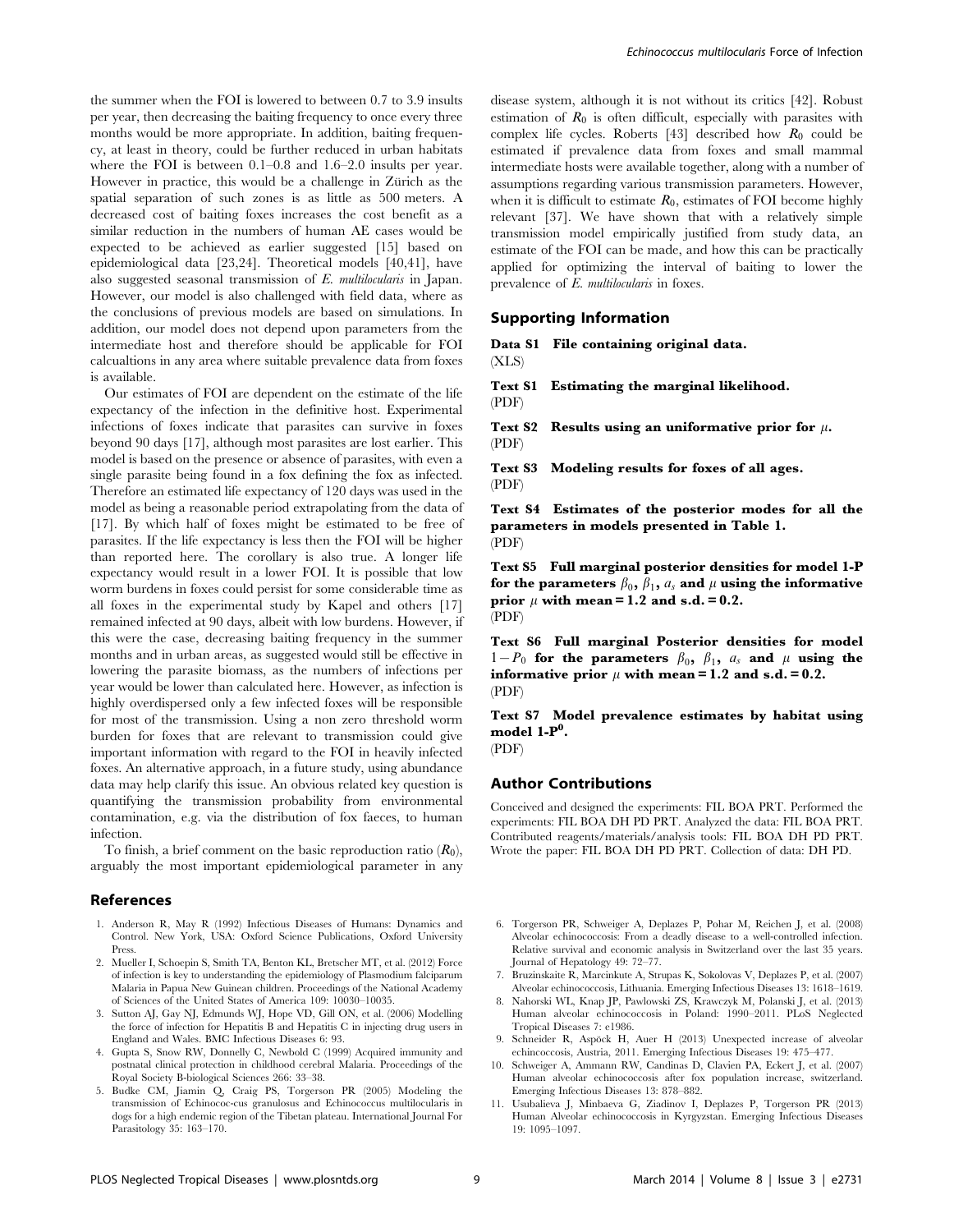the summer when the FOI is lowered to between 0.7 to 3.9 insults per year, then decreasing the baiting frequency to once every three months would be more appropriate. In addition, baiting frequency, at least in theory, could be further reduced in urban habitats where the FOI is between 0.1–0.8 and 1.6–2.0 insults per year. However in practice, this would be a challenge in Zürich as the spatial separation of such zones is as little as 500 meters. A decreased cost of baiting foxes increases the cost benefit as a similar reduction in the numbers of human AE cases would be expected to be achieved as earlier suggested [15] based on epidemiological data [23,24]. Theoretical models [40,41], have also suggested seasonal transmission of E. multilocularis in Japan. However, our model is also challenged with field data, where as the conclusions of previous models are based on simulations. In addition, our model does not depend upon parameters from the intermediate host and therefore should be applicable for FOI calcualtions in any area where suitable prevalence data from foxes is available.

Our estimates of FOI are dependent on the estimate of the life expectancy of the infection in the definitive host. Experimental infections of foxes indicate that parasites can survive in foxes beyond 90 days [17], although most parasites are lost earlier. This model is based on the presence or absence of parasites, with even a single parasite being found in a fox defining the fox as infected. Therefore an estimated life expectancy of 120 days was used in the model as being a reasonable period extrapolating from the data of [17]. By which half of foxes might be estimated to be free of parasites. If the life expectancy is less then the FOI will be higher than reported here. The corollary is also true. A longer life expectancy would result in a lower FOI. It is possible that low worm burdens in foxes could persist for some considerable time as all foxes in the experimental study by Kapel and others [17] remained infected at 90 days, albeit with low burdens. However, if this were the case, decreasing baiting frequency in the summer months and in urban areas, as suggested would still be effective in lowering the parasite biomass, as the numbers of infections per year would be lower than calculated here. However, as infection is highly overdispersed only a few infected foxes will be responsible for most of the transmission. Using a non zero threshold worm burden for foxes that are relevant to transmission could give important information with regard to the FOI in heavily infected foxes. An alternative approach, in a future study, using abundance data may help clarify this issue. An obvious related key question is quantifying the transmission probability from environmental contamination, e.g. via the distribution of fox faeces, to human infection.

To finish, a brief comment on the basic reproduction ratio  $(R_0)$ , arguably the most important epidemiological parameter in any

#### References

- 1. Anderson R, May R (1992) Infectious Diseases of Humans: Dynamics and Control. New York, USA: Oxford Science Publications, Oxford University Press.
- 2. Mueller I, Schoepin S, Smith TA, Benton KL, Bretscher MT, et al. (2012) Force of infection is key to understanding the epidemiology of Plasmodium falciparum Malaria in Papua New Guinean children. Proceedings of the National Academy of Sciences of the United States of America 109: 10030–10035.
- 3. Sutton AJ, Gay NJ, Edmunds WJ, Hope VD, Gill ON, et al. (2006) Modelling the force of infection for Hepatitis B and Hepatitis C in injecting drug users in England and Wales. BMC Infectious Diseases 6: 93.
- 4. Gupta S, Snow RW, Donnelly C, Newbold C (1999) Acquired immunity and postnatal clinical protection in childhood cerebral Malaria. Proceedings of the Royal Society B-biological Sciences 266: 33–38.
- 5. Budke CM, Jiamin Q, Craig PS, Torgerson PR (2005) Modeling the transmission of Echinococ-cus granulosus and Echinococcus multilocularis in dogs for a high endemic region of the Tibetan plateau. International Journal For Parasitology 35: 163–170.

disease system, although it is not without its critics [42]. Robust estimation of  $R_0$  is often difficult, especially with parasites with complex life cycles. Roberts [43] described how  $R_0$  could be estimated if prevalence data from foxes and small mammal intermediate hosts were available together, along with a number of assumptions regarding various transmission parameters. However, when it is difficult to estimate  $R_0$ , estimates of FOI become highly relevant [37]. We have shown that with a relatively simple transmission model empirically justified from study data, an estimate of the FOI can be made, and how this can be practically applied for optimizing the interval of baiting to lower the prevalence of E. multilocularis in foxes.

#### Supporting Information

Data S1 File containing original data. (XLS)

Text S1 Estimating the marginal likelihood. (PDF)

Text S2 Results using an uniformative prior for  $\mu$ . (PDF)

Text S3 Modeling results for foxes of all ages. (PDF)

Text S4 Estimates of the posterior modes for all the parameters in models presented in Table 1. (PDF)

Text S5 Full marginal posterior densities for model 1-P for the parameters  $\beta_0$ ,  $\beta_1$ ,  $a_s$  and  $\mu$  using the informative prior  $\mu$  with mean = 1.2 and s.d. = 0.2. (PDF)

Text S6 Full marginal Posterior densities for model  $1-P_0$  for the parameters  $\beta_0$ ,  $\beta_1$ ,  $a_s$  and  $\mu$  using the informative prior  $\mu$  with mean = 1.2 and s.d. = 0.2. (PDF)

Text S7 Model prevalence estimates by habitat using model  $1-P^0$ .

(PDF)

# Author Contributions

Conceived and designed the experiments: FIL BOA PRT. Performed the experiments: FIL BOA DH PD PRT. Analyzed the data: FIL BOA PRT. Contributed reagents/materials/analysis tools: FIL BOA DH PD PRT. Wrote the paper: FIL BOA DH PD PRT. Collection of data: DH PD.

- 6. Torgerson PR, Schweiger A, Deplazes P, Pohar M, Reichen J, et al. (2008) Alveolar echinococcosis: From a deadly disease to a well-controlled infection. Relative survival and economic analysis in Switzerland over the last 35 years. Journal of Hepatology 49: 72–77.
- 7. Bruzinskaite R, Marcinkute A, Strupas K, Sokolovas V, Deplazes P, et al. (2007) Alveolar echinococcosis, Lithuania. Emerging Infectious Diseases 13: 1618–1619.
- 8. Nahorski WL, Knap JP, Pawlowski ZS, Krawczyk M, Polanski J, et al. (2013) Human alveolar echinococcosis in Poland: 1990–2011. PLoS Neglected Tropical Diseases 7: e1986.
- 9. Schneider R, Aspöck H, Auer H (2013) Unexpected increase of alveolar echincoccosis, Austria, 2011. Emerging Infectious Diseases 19: 475–477.
- 10. Schweiger A, Ammann RW, Candinas D, Clavien PA, Eckert J, et al. (2007) Human alveolar echinococcosis after fox population increase, switzerland. Emerging Infectious Diseases 13: 878–882.
- 11. Usubalieva J, Minbaeva G, Ziadinov I, Deplazes P, Torgerson PR (2013) Human Alveolar echinococcosis in Kyrgyzstan. Emerging Infectious Diseases 19: 1095–1097.